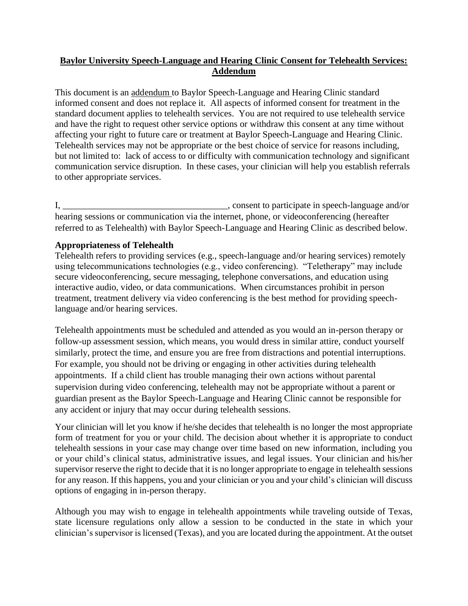# **Baylor University Speech-Language and Hearing Clinic Consent for Telehealth Services: Addendum**

This document is an addendum to Baylor Speech-Language and Hearing Clinic standard informed consent and does not replace it. All aspects of informed consent for treatment in the standard document applies to telehealth services. You are not required to use telehealth service and have the right to request other service options or withdraw this consent at any time without affecting your right to future care or treatment at Baylor Speech-Language and Hearing Clinic. Telehealth services may not be appropriate or the best choice of service for reasons including, but not limited to: lack of access to or difficulty with communication technology and significant communication service disruption. In these cases, your clinician will help you establish referrals to other appropriate services.

I, \_\_\_\_\_\_\_\_\_\_\_\_\_\_\_\_\_\_\_\_\_\_\_\_\_\_\_\_\_\_\_\_\_\_\_\_, consent to participate in speech-language and/or hearing sessions or communication via the internet, phone, or videoconferencing (hereafter referred to as Telehealth) with Baylor Speech-Language and Hearing Clinic as described below.

# **Appropriateness of Telehealth**

Telehealth refers to providing services (e.g., speech-language and/or hearing services) remotely using telecommunications technologies (e.g., video conferencing). "Teletherapy" may include secure videoconferencing, secure messaging, telephone conversations, and education using interactive audio, video, or data communications. When circumstances prohibit in person treatment, treatment delivery via video conferencing is the best method for providing speechlanguage and/or hearing services.

Telehealth appointments must be scheduled and attended as you would an in-person therapy or follow-up assessment session, which means, you would dress in similar attire, conduct yourself similarly, protect the time, and ensure you are free from distractions and potential interruptions. For example, you should not be driving or engaging in other activities during telehealth appointments. If a child client has trouble managing their own actions without parental supervision during video conferencing, telehealth may not be appropriate without a parent or guardian present as the Baylor Speech-Language and Hearing Clinic cannot be responsible for any accident or injury that may occur during telehealth sessions.

Your clinician will let you know if he/she decides that telehealth is no longer the most appropriate form of treatment for you or your child. The decision about whether it is appropriate to conduct telehealth sessions in your case may change over time based on new information, including you or your child's clinical status, administrative issues, and legal issues. Your clinician and his/her supervisor reserve the right to decide that it is no longer appropriate to engage in telehealth sessions for any reason. If this happens, you and your clinician or you and your child's clinician will discuss options of engaging in in-person therapy.

Although you may wish to engage in telehealth appointments while traveling outside of Texas, state licensure regulations only allow a session to be conducted in the state in which your clinician's supervisor is licensed (Texas), and you are located during the appointment. At the outset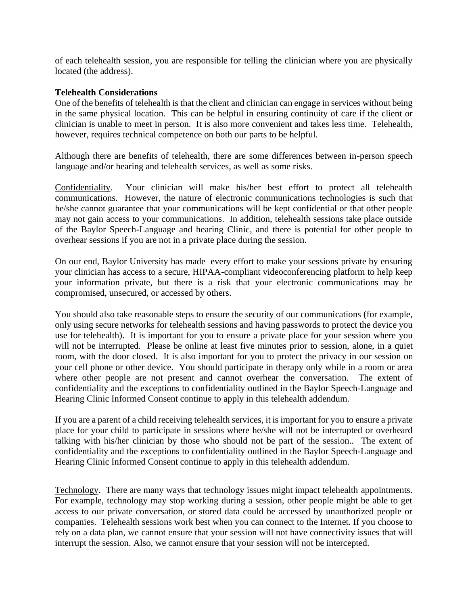of each telehealth session, you are responsible for telling the clinician where you are physically located (the address).

### **Telehealth Considerations**

One of the benefits of telehealth is that the client and clinician can engage in services without being in the same physical location. This can be helpful in ensuring continuity of care if the client or clinician is unable to meet in person. It is also more convenient and takes less time. Telehealth, however, requires technical competence on both our parts to be helpful.

Although there are benefits of telehealth, there are some differences between in-person speech language and/or hearing and telehealth services, as well as some risks.

Confidentiality. Your clinician will make his/her best effort to protect all telehealth communications. However, the nature of electronic communications technologies is such that he/she cannot guarantee that your communications will be kept confidential or that other people may not gain access to your communications. In addition, telehealth sessions take place outside of the Baylor Speech-Language and hearing Clinic, and there is potential for other people to overhear sessions if you are not in a private place during the session.

On our end, Baylor University has made every effort to make your sessions private by ensuring your clinician has access to a secure, HIPAA-compliant videoconferencing platform to help keep your information private, but there is a risk that your electronic communications may be compromised, unsecured, or accessed by others.

You should also take reasonable steps to ensure the security of our communications (for example, only using secure networks for telehealth sessions and having passwords to protect the device you use for telehealth). It is important for you to ensure a private place for your session where you will not be interrupted. Please be online at least five minutes prior to session, alone, in a quiet room, with the door closed. It is also important for you to protect the privacy in our session on your cell phone or other device. You should participate in therapy only while in a room or area where other people are not present and cannot overhear the conversation. The extent of confidentiality and the exceptions to confidentiality outlined in the Baylor Speech-Language and Hearing Clinic Informed Consent continue to apply in this telehealth addendum.

If you are a parent of a child receiving telehealth services, it is important for you to ensure a private place for your child to participate in sessions where he/she will not be interrupted or overheard talking with his/her clinician by those who should not be part of the session.. The extent of confidentiality and the exceptions to confidentiality outlined in the Baylor Speech-Language and Hearing Clinic Informed Consent continue to apply in this telehealth addendum.

Technology. There are many ways that technology issues might impact telehealth appointments. For example, technology may stop working during a session, other people might be able to get access to our private conversation, or stored data could be accessed by unauthorized people or companies. Telehealth sessions work best when you can connect to the Internet. If you choose to rely on a data plan, we cannot ensure that your session will not have connectivity issues that will interrupt the session. Also, we cannot ensure that your session will not be intercepted.